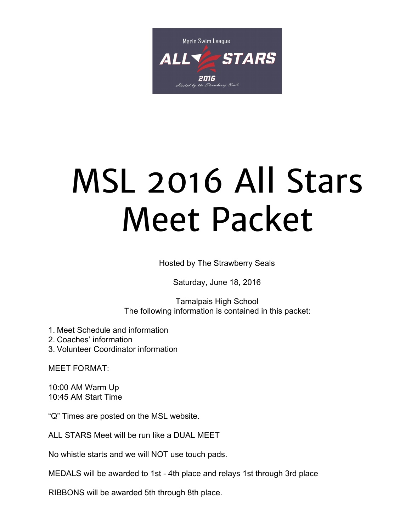

# MSL 2016 All Stars Meet Packet

Hosted by The Strawberry Seals

Saturday, June 18, 2016

Tamalpais High School The following information is contained in this packet:

1. Meet Schedule and information

2. Coaches' information

3. Volunteer Coordinator information

MEET FORMAT:

10:00 AM Warm Up 10:45 AM Start Time

"Q" Times are posted on the MSL website.

ALL STARS Meet will be run like a DUAL MEET

No whistle starts and we will NOT use touch pads.

MEDALS will be awarded to 1st - 4th place and relays 1st through 3rd place

RIBBONS will be awarded 5th through 8th place.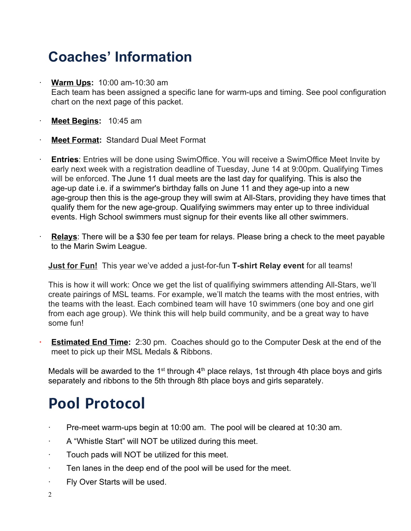## **Coaches' Information**

- **Warm Ups:** 10:00 am-10:30 am Each team has been assigned a specific lane for warm-ups and timing. See pool configuration chart on the next page of this packet.
- ∙ **Meet Begins:**10:45 am
- ∙ **Meet Format:** Standard Dual Meet Format
- ∙ **Entries**: Entries will be done using SwimOffice. You will receive a SwimOffice Meet Invite by early next week with a registration deadline of Tuesday, June 14 at 9:00pm. Qualifying Times will be enforced. The June 11 dual meets are the last day for qualifying. This is also the age-up date i.e. if a swimmer's birthday falls on June 11 and they age-up into a new age-group then this is the age-group they will swim at All-Stars, providing they have times that qualify them for the new age-group. Qualifying swimmers may enter up to three individual events. High School swimmers must signup for their events like all other swimmers.
- ∙ **Relays**: There will be a \$30 fee per team for relays. Please bring a check to the meet payable to the Marin Swim League.

**Just for Fun!** This year we've added a just-for-fun **T-shirt Relay event** for all teams!

This is how it will work: Once we get the list of qualifiying swimmers attending All-Stars, we'll create pairings of MSL teams. For example, we'll match the teams with the most entries, with the teams with the least. Each combined team will have 10 swimmers (one boy and one girl from each age group). We think this will help build community, and be a great way to have some fun!

■ **Estimated End Time:** 2:30 pm. Coaches should go to the Computer Desk at the end of the meet to pick up their MSL Medals & Ribbons.

Medals will be awarded to the 1<sup>st</sup> through  $4<sup>th</sup>$  place relays, 1st through 4th place boys and girls separately and ribbons to the 5th through 8th place boys and girls separately.

## **Pool Protocol**

- Pre-meet warm-ups begin at 10:00 am. The pool will be cleared at 10:30 am.
- ∙ A "Whistle Start" will NOT be utilized during this meet.
- ∙ Touch pads will NOT be utilized for this meet.
- ∙ Ten lanes in the deep end of the pool will be used for the meet.
- ∙ Fly Over Starts will be used.
- 2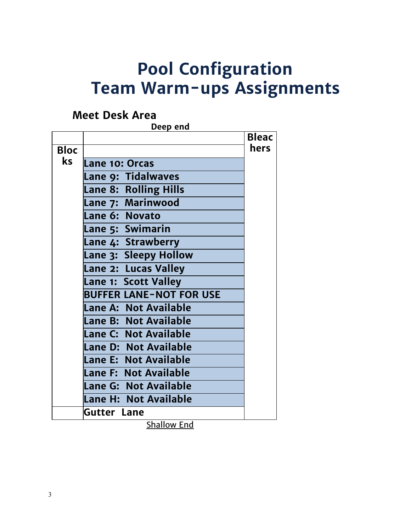# **Pool Configuration Team Warm-ups Assignments**

## **Meet Desk Area**

|             | Deep end                       |              |
|-------------|--------------------------------|--------------|
|             |                                | <b>Bleac</b> |
| <b>Bloc</b> |                                | <b>hers</b>  |
| ks          | Lane 10: Orcas                 |              |
|             | Lane 9: Tidalwaves             |              |
|             | Lane 8: Rolling Hills          |              |
|             | Lane 7: Marinwood              |              |
|             | Lane 6: Novato                 |              |
|             | Lane 5: Swimarin               |              |
|             | Lane 4: Strawberry             |              |
|             | Lane 3: Sleepy Hollow          |              |
|             | Lane 2: Lucas Valley           |              |
|             | Lane 1: Scott Valley           |              |
|             | <b>BUFFER LANE-NOT FOR USE</b> |              |
|             | <b>Lane A: Not Available</b>   |              |
|             | Lane B: Not Available          |              |
|             | Lane C: Not Available          |              |
|             | Lane D: Not Available          |              |
|             | Lane E: Not Available          |              |
|             | Lane F: Not Available          |              |
|             | Lane G: Not Available          |              |
|             | Lane H: Not Available          |              |
|             | <b>Gutter Lane</b>             |              |

Shallow End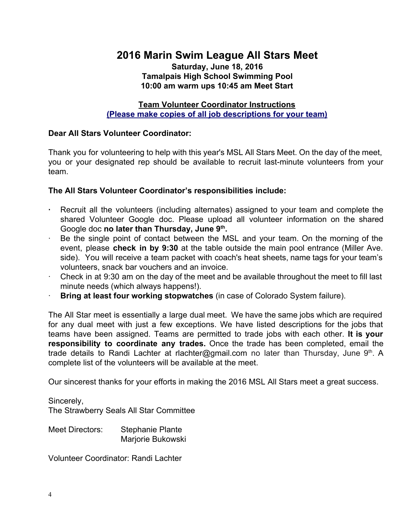### **2016 Marin Swim League All Stars Meet**

#### **Saturday, June 18, 2016 Tamalpais High School Swimming Pool 10:00 am warm ups 10:45 am Meet Start**

**Team Volunteer Coordinator Instructions (Please make copies of all job descriptions for your team)**

#### **Dear All Stars Volunteer Coordinator:**

Thank you for volunteering to help with this year's MSL All Stars Meet. On the day of the meet, you or your designated rep should be available to recruit last-minute volunteers from your team.

#### **The All Stars Volunteer Coordinator's responsibilities include:**

- **∙** Recruit all the volunteers (including alternates) assigned to your team and complete the shared Volunteer Google doc. Please upload all volunteer information on the shared Google doc **no later than Thursday, June 9th.**
- Be the single point of contact between the MSL and your team. On the morning of the event, please **check in by 9:30** at the table outside the main pool entrance (Miller Ave. side). You will receive a team packet with coach's heat sheets, name tags for your team's volunteers, snack bar vouchers and an invoice.
- ∙ Check in at 9:30 am on the day of the meet and be available throughout the meet to fill last minute needs (which always happens!).
- ∙ **Bring at least four working stopwatches**(in case of Colorado System failure).

The All Star meet is essentially a large dual meet. We have the same jobs which are required for any dual meet with just a few exceptions. We have listed descriptions for the jobs that teams have been assigned. Teams are permitted to trade jobs with each other. **It is your responsibility to coordinate any trades.** Once the trade has been completed, email the trade details to Randi Lachter at rlachter@gmail.com no later than Thursday, June 9<sup>th</sup>. A complete list of the volunteers will be available at the meet.

Our sincerest thanks for your efforts in making the 2016 MSL All Stars meet a great success.

Sincerely,

The Strawberry Seals All Star Committee

Meet Directors: Stephanie Plante Marjorie Bukowski

Volunteer Coordinator: Randi Lachter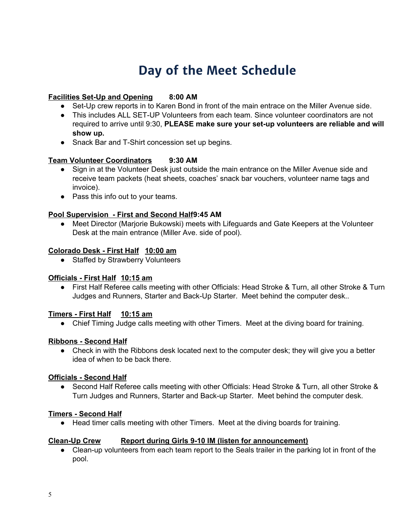## **Day of the Meet Schedule**

#### **Facilities Set-Up and Opening 8:00 AM**

- Set-Up crew reports in to Karen Bond in front of the main entrace on the Miller Avenue side.
- This includes ALL SET-UP Volunteers from each team. Since volunteer coordinators are not required to arrive until 9:30, **PLEASE make sure your setup volunteers are reliable and will show up.**
- Snack Bar and T-Shirt concession set up begins.

#### **Team Volunteer Coordinators 9:30 AM**

- Sign in at the Volunteer Desk just outside the main entrance on the Miller Avenue side and receive team packets (heat sheets, coaches' snack bar vouchers, volunteer name tags and invoice).
- Pass this info out to your teams.

#### **Pool Supervision First and Second Half9:45 AM**

● Meet Director (Marjorie Bukowski) meets with Lifeguards and Gate Keepers at the Volunteer Desk at the main entrance (Miller Ave. side of pool).

#### **Colorado Desk First Half 10:00 am**

● Staffed by Strawberry Volunteers

#### **Officials First Half 10:15 am**

● First Half Referee calls meeting with other Officials: Head Stroke & Turn, all other Stroke & Turn Judges and Runners, Starter and Back-Up Starter. Meet behind the computer desk..

#### **Timers First Half 10:15 am**

• Chief Timing Judge calls meeting with other Timers. Meet at the diving board for training.

#### **Ribbons Second Half**

• Check in with the Ribbons desk located next to the computer desk; they will give you a better idea of when to be back there.

#### **Officials Second Half**

● Second Half Referee calls meeting with other Officials: Head Stroke & Turn, all other Stroke & Turn Judges and Runners, Starter and Back-up Starter. Meet behind the computer desk.

#### **Timers Second Half**

● Head timer calls meeting with other Timers. Meet at the diving boards for training.

#### **Clean-Up Crew •• Report during Girls 9-10 <b>IM** (listen for announcement)

• Clean-up volunteers from each team report to the Seals trailer in the parking lot in front of the pool.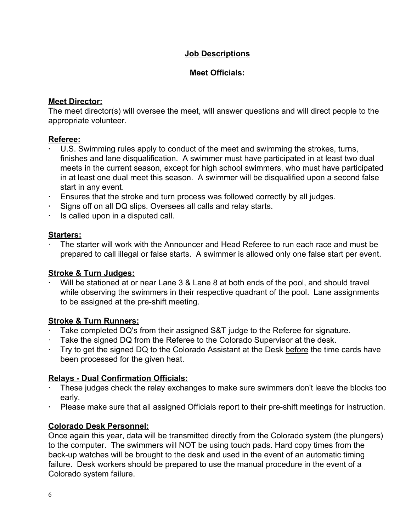#### **Job Descriptions**

#### **Meet Officials:**

#### **Meet Director:**

The meet director(s) will oversee the meet, will answer questions and will direct people to the appropriate volunteer.

#### **Referee:**

- **∙** U.S. Swimming rules apply to conduct of the meet and swimming the strokes, turns, finishes and lane disqualification. A swimmer must have participated in at least two dual meets in the current season, except for high school swimmers, who must have participated in at least one dual meet this season. A swimmer will be disqualified upon a second false start in any event.
- **∙** Ensures that the stroke and turn process was followed correctly by all judges.
- **∙** Signs off on all DQ slips. Oversees all calls and relay starts.
- **∙** Is called upon in a disputed call.

#### **Starters:**

∙ The starter will work with the Announcer and Head Referee to run each race and must be prepared to call illegal or false starts. A swimmer is allowed only one false start per event.

#### **Stroke & Turn Judges:**

**∙** Will be stationed at or near Lane 3 & Lane 8 at both ends of the pool, and should travel while observing the swimmers in their respective quadrant of the pool. Lane assignments to be assigned at the pre-shift meeting.

#### **Stroke & Turn Runners:**

- ∙ Take completed DQ's from their assigned S&T judge to the Referee for signature.
- Take the signed DQ from the Referee to the Colorado Supervisor at the desk.
- Try to get the signed DQ to the Colorado Assistant at the Desk before the time cards have been processed for the given heat.

#### **Relays Dual Confirmation Officials:**

- **∙** These judges check the relay exchanges to make sure swimmers don't leave the blocks too early.
- Please make sure that all assigned Officials report to their pre-shift meetings for instruction.

#### **Colorado Desk Personnel:**

Once again this year, data will be transmitted directly from the Colorado system (the plungers) to the computer. The swimmers will NOT be using touch pads. Hard copy times from the back-up watches will be brought to the desk and used in the event of an automatic timing failure. Desk workers should be prepared to use the manual procedure in the event of a Colorado system failure.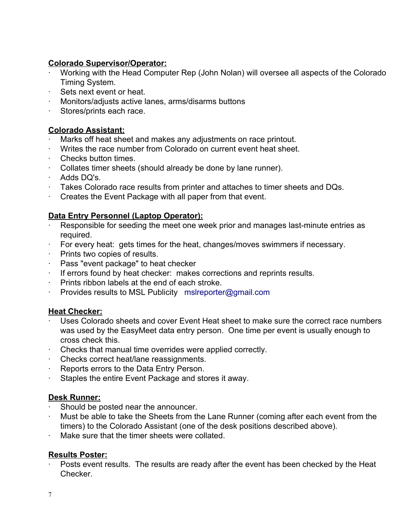#### **Colorado Supervisor/Operator:**

- ∙ Working with the Head Computer Rep (John Nolan) will oversee all aspects of the Colorado Timing System.
- ∙ Sets next event or heat.
- ∙ Monitors/adjusts active lanes, arms/disarms buttons
- ∙ Stores/prints each race.

#### **Colorado Assistant:**

- ∙ Marks off heat sheet and makes any adjustments on race printout.
- ∙ Writes the race number from Colorado on current event heat sheet.
- ∙ Checks button times.
- ∙ Collates timer sheets (should already be done by lane runner).
- ∙ Adds DQ's.
- ∙ Takes Colorado race results from printer and attaches to timer sheets and DQs.
- ∙ Creates the Event Package with all paper from that event.

#### **Data Entry Personnel (Laptop Operator):**

- Responsible for seeding the meet one week prior and manages last-minute entries as required.
- ∙ For every heat: gets times for the heat, changes/moves swimmers if necessary.
- ∙ Prints two copies of results.
- ∙ Pass "event package" to heat checker
- ∙ If errors found by heat checker: makes corrections and reprints results.
- ∙ Prints ribbon labels at the end of each stroke.
- ∙ Provides results to MSL Publicity [mslreporter@gmail.com](mailto:mslreporter@gmail.com)

#### **Heat Checker:**

- ∙ Uses Colorado sheets and cover Event Heat sheet to make sure the correct race numbers was used by the EasyMeet data entry person. One time per event is usually enough to cross check this.
- ∙ Checks that manual time overrides were applied correctly.
- ∙ Checks correct heat/lane reassignments.
- ∙ Reports errors to the Data Entry Person.
- ∙ Staples the entire Event Package and stores it away.

#### **Desk Runner:**

- ∙ Should be posted near the announcer.
- ∙ Must be able to take the Sheets from the Lane Runner (coming after each event from the timers) to the Colorado Assistant (one of the desk positions described above).
- ∙ Make sure that the timer sheets were collated.

#### **Results Poster:**

Posts event results. The results are ready after the event has been checked by the Heat Checker.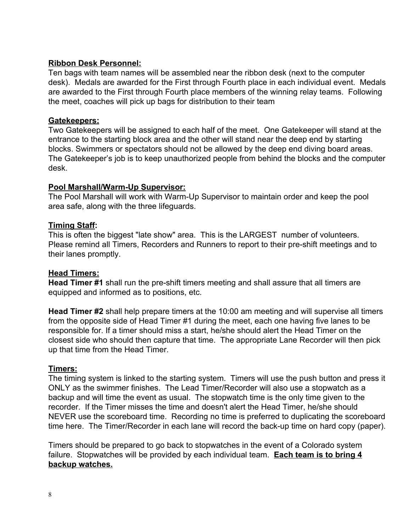#### **Ribbon Desk Personnel:**

Ten bags with team names will be assembled near the ribbon desk (next to the computer desk). Medals are awarded for the First through Fourth place in each individual event. Medals are awarded to the First through Fourth place members of the winning relay teams. Following the meet, coaches will pick up bags for distribution to their team

#### **Gatekeepers:**

Two Gatekeepers will be assigned to each half of the meet. One Gatekeeper will stand at the entrance to the starting block area and the other will stand near the deep end by starting blocks. Swimmers or spectators should not be allowed by the deep end diving board areas. The Gatekeeper's job is to keep unauthorized people from behind the blocks and the computer desk.

#### **Pool Marshall/Warm-Up Supervisor:**

The Pool Marshall will work with Warm-Up Supervisor to maintain order and keep the pool area safe, along with the three lifeguards.

#### **Timing Staff:**

This is often the biggest "late show" area. This is the LARGEST number of volunteers. Please remind all Timers, Recorders and Runners to report to their pre-shift meetings and to their lanes promptly.

#### **Head Timers:**

Head Timer #1 shall run the pre-shift timers meeting and shall assure that all timers are equipped and informed as to positions, etc.

**Head Timer #2** shall help prepare timers at the 10:00 am meeting and will supervise all timers from the opposite side of Head Timer #1 during the meet, each one having five lanes to be responsible for. If a timer should miss a start, he/she should alert the Head Timer on the closest side who should then capture that time. The appropriate Lane Recorder will then pick up that time from the Head Timer.

#### **Timers:**

The timing system is linked to the starting system. Timers will use the push button and press it ONLY as the swimmer finishes. The Lead Timer/Recorder will also use a stopwatch as a backup and will time the event as usual. The stopwatch time is the only time given to the recorder. If the Timer misses the time and doesn't alert the Head Timer, he/she should NEVER use the scoreboard time. Recording no time is preferred to duplicating the scoreboard time here. The Timer/Recorder in each lane will record the back-up time on hard copy (paper).

Timers should be prepared to go back to stopwatches in the event of a Colorado system failure. Stopwatches will be provided by each individual team. **Each team is to bring 4 backup watches.**